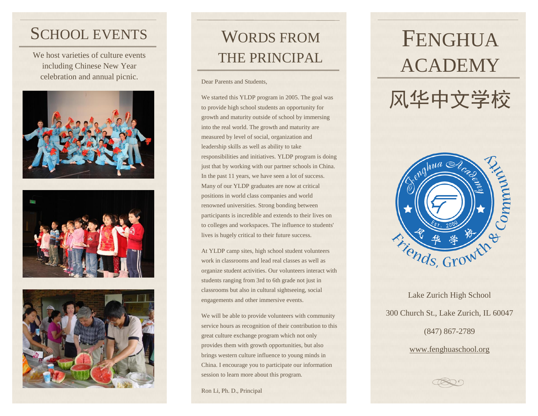#### SCHOOL EVENTS

We host varieties of culture events including Chinese New Year celebration and annual picnic.







### WORDS FROM THE PRINCIPAL

Dear Parents and Students,

We started this YLDP program in 2005. The goal was to provide high school students an opportunity for growth and maturity outside of school by immersing into the real world. The growth and maturity are measured by level of social, organization and leadership skills as well as ability to take responsibilities and initiatives. YLDP program is doing just that by working with our partner schools in China. In the past 11 years, we have seen a lot of success. Many of our YLDP graduates are now at critical positions in world class companies and world renowned universities. Strong bonding between participants is incredible and extends to their lives on to colleges and workspaces. The influence to students' lives is hugely critical to their future success.

At YLDP camp sites, high school student volunteers work in classrooms and lead real classes as well as organize student activities. Our volunteers interact with students ranging from 3rd to 6th grade not just in classrooms but also in cultural sightseeing, social engagements and other immersive events.

We will be able to provide volunteers with community service hours as recognition of their contribution to this great culture exchange program which not only provides them with growth opportunities, but also brings western culture influence to young minds in China. I encourage you to participate our information session to learn more about this program.

Ron Li, Ph. D., Principal

# FENGHUA ACADEMY





Lake Zurich High School 300 Church St., Lake Zurich, IL 60047 (847) 867-2789

www.fenghuaschool.org